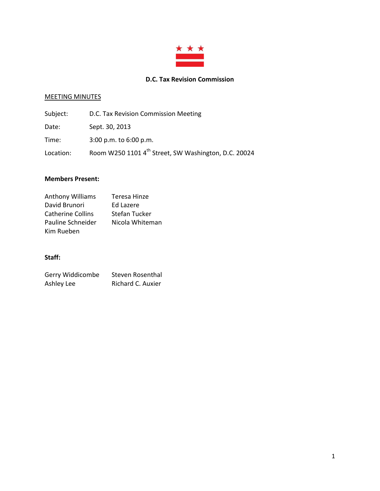

# **D.C. Tax Revision Commission**

# MEETING MINUTES

| Subject:  | D.C. Tax Revision Commission Meeting                             |
|-----------|------------------------------------------------------------------|
| Date:     | Sept. 30, 2013                                                   |
| Time:     | $3:00$ p.m. to $6:00$ p.m.                                       |
| Location: | Room W250 1101 4 <sup>th</sup> Street, SW Washington, D.C. 20024 |

### **Members Present:**

| <b>Anthony Williams</b>  | Teresa Hinze    |
|--------------------------|-----------------|
| David Brunori            | Ed Lazere       |
| <b>Catherine Collins</b> | Stefan Tucker   |
| Pauline Schneider        | Nicola Whiteman |
| Kim Rueben               |                 |

# **Staff:**

| Gerry Widdicombe | Steven Rosenthal  |
|------------------|-------------------|
| Ashley Lee       | Richard C. Auxier |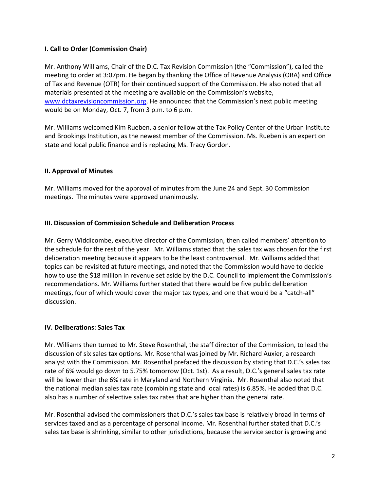# **I. Call to Order (Commission Chair)**

Mr. Anthony Williams, Chair of the D.C. Tax Revision Commission (the "Commission"), called the meeting to order at 3:07pm. He began by thanking the Office of Revenue Analysis (ORA) and Office of Tax and Revenue (OTR) for their continued support of the Commission. He also noted that all materials presented at the meeting are available on the Commission's website, [www.dctaxrevisioncommission.org.](http://www.dctaxrevisioncommission.org/) He announced that the Commission's next public meeting would be on Monday, Oct. 7, from 3 p.m. to 6 p.m.

Mr. Williams welcomed Kim Rueben, a senior fellow at the Tax Policy Center of the Urban Institute and Brookings Institution, as the newest member of the Commission. Ms. Rueben is an expert on state and local public finance and is replacing Ms. Tracy Gordon.

### **II. Approval of Minutes**

Mr. Williams moved for the approval of minutes from the June 24 and Sept. 30 Commission meetings. The minutes were approved unanimously.

### **III. Discussion of Commission Schedule and Deliberation Process**

Mr. Gerry Widdicombe, executive director of the Commission, then called members' attention to the schedule for the rest of the year. Mr. Williams stated that the sales tax was chosen for the first deliberation meeting because it appears to be the least controversial. Mr. Williams added that topics can be revisited at future meetings, and noted that the Commission would have to decide how to use the \$18 million in revenue set aside by the D.C. Council to implement the Commission's recommendations. Mr. Williams further stated that there would be five public deliberation meetings, four of which would cover the major tax types, and one that would be a "catch-all" discussion.

### **IV. Deliberations: Sales Tax**

Mr. Williams then turned to Mr. Steve Rosenthal, the staff director of the Commission, to lead the discussion of six sales tax options. Mr. Rosenthal was joined by Mr. Richard Auxier, a research analyst with the Commission. Mr. Rosenthal prefaced the discussion by stating that D.C.'s sales tax rate of 6% would go down to 5.75% tomorrow (Oct. 1st). As a result, D.C.'s general sales tax rate will be lower than the 6% rate in Maryland and Northern Virginia. Mr. Rosenthal also noted that the national median sales tax rate (combining state and local rates) is 6.85%. He added that D.C. also has a number of selective sales tax rates that are higher than the general rate.

Mr. Rosenthal advised the commissioners that D.C.'s sales tax base is relatively broad in terms of services taxed and as a percentage of personal income. Mr. Rosenthal further stated that D.C.'s sales tax base is shrinking, similar to other jurisdictions, because the service sector is growing and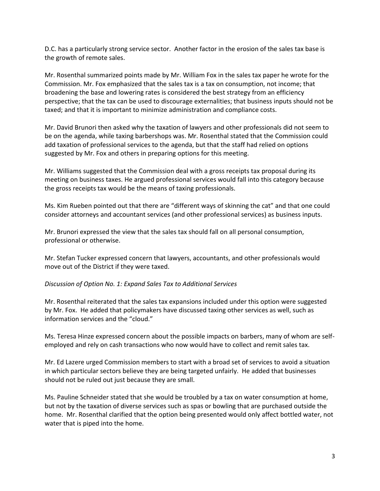D.C. has a particularly strong service sector. Another factor in the erosion of the sales tax base is the growth of remote sales.

Mr. Rosenthal summarized points made by Mr. William Fox in the sales tax paper he wrote for the Commission. Mr. Fox emphasized that the sales tax is a tax on consumption, not income; that broadening the base and lowering rates is considered the best strategy from an efficiency perspective; that the tax can be used to discourage externalities; that business inputs should not be taxed; and that it is important to minimize administration and compliance costs.

Mr. David Brunori then asked why the taxation of lawyers and other professionals did not seem to be on the agenda, while taxing barbershops was. Mr. Rosenthal stated that the Commission could add taxation of professional services to the agenda, but that the staff had relied on options suggested by Mr. Fox and others in preparing options for this meeting.

Mr. Williams suggested that the Commission deal with a gross receipts tax proposal during its meeting on business taxes. He argued professional services would fall into this category because the gross receipts tax would be the means of taxing professionals.

Ms. Kim Rueben pointed out that there are "different ways of skinning the cat" and that one could consider attorneys and accountant services (and other professional services) as business inputs.

Mr. Brunori expressed the view that the sales tax should fall on all personal consumption, professional or otherwise.

Mr. Stefan Tucker expressed concern that lawyers, accountants, and other professionals would move out of the District if they were taxed.

### *Discussion of Option No. 1: Expand Sales Tax to Additional Services*

Mr. Rosenthal reiterated that the sales tax expansions included under this option were suggested by Mr. Fox. He added that policymakers have discussed taxing other services as well, such as information services and the "cloud."

Ms. Teresa Hinze expressed concern about the possible impacts on barbers, many of whom are selfemployed and rely on cash transactions who now would have to collect and remit sales tax.

Mr. Ed Lazere urged Commission members to start with a broad set of services to avoid a situation in which particular sectors believe they are being targeted unfairly. He added that businesses should not be ruled out just because they are small.

Ms. Pauline Schneider stated that she would be troubled by a tax on water consumption at home, but not by the taxation of diverse services such as spas or bowling that are purchased outside the home. Mr. Rosenthal clarified that the option being presented would only affect bottled water, not water that is piped into the home.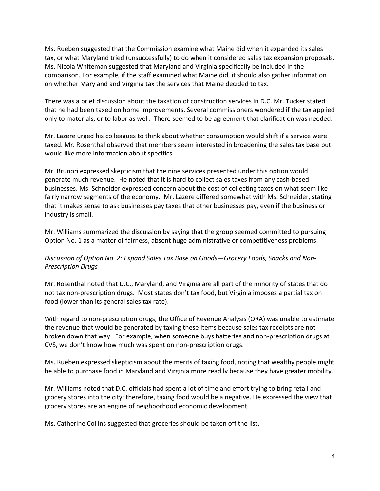Ms. Rueben suggested that the Commission examine what Maine did when it expanded its sales tax, or what Maryland tried (unsuccessfully) to do when it considered sales tax expansion proposals. Ms. Nicola Whiteman suggested that Maryland and Virginia specifically be included in the comparison. For example, if the staff examined what Maine did, it should also gather information on whether Maryland and Virginia tax the services that Maine decided to tax.

There was a brief discussion about the taxation of construction services in D.C. Mr. Tucker stated that he had been taxed on home improvements. Several commissioners wondered if the tax applied only to materials, or to labor as well. There seemed to be agreement that clarification was needed.

Mr. Lazere urged his colleagues to think about whether consumption would shift if a service were taxed. Mr. Rosenthal observed that members seem interested in broadening the sales tax base but would like more information about specifics.

Mr. Brunori expressed skepticism that the nine services presented under this option would generate much revenue. He noted that it is hard to collect sales taxes from any cash-based businesses. Ms. Schneider expressed concern about the cost of collecting taxes on what seem like fairly narrow segments of the economy. Mr. Lazere differed somewhat with Ms. Schneider, stating that it makes sense to ask businesses pay taxes that other businesses pay, even if the business or industry is small.

Mr. Williams summarized the discussion by saying that the group seemed committed to pursuing Option No. 1 as a matter of fairness, absent huge administrative or competitiveness problems.

# *Discussion of Option No. 2: Expand Sales Tax Base on Goods—Grocery Foods, Snacks and Non-Prescription Drugs*

Mr. Rosenthal noted that D.C., Maryland, and Virginia are all part of the minority of states that do not tax non-prescription drugs. Most states don't tax food, but Virginia imposes a partial tax on food (lower than its general sales tax rate).

With regard to non-prescription drugs, the Office of Revenue Analysis (ORA) was unable to estimate the revenue that would be generated by taxing these items because sales tax receipts are not broken down that way. For example, when someone buys batteries and non-prescription drugs at CVS, we don't know how much was spent on non-prescription drugs.

Ms. Rueben expressed skepticism about the merits of taxing food, noting that wealthy people might be able to purchase food in Maryland and Virginia more readily because they have greater mobility.

Mr. Williams noted that D.C. officials had spent a lot of time and effort trying to bring retail and grocery stores into the city; therefore, taxing food would be a negative. He expressed the view that grocery stores are an engine of neighborhood economic development.

Ms. Catherine Collins suggested that groceries should be taken off the list.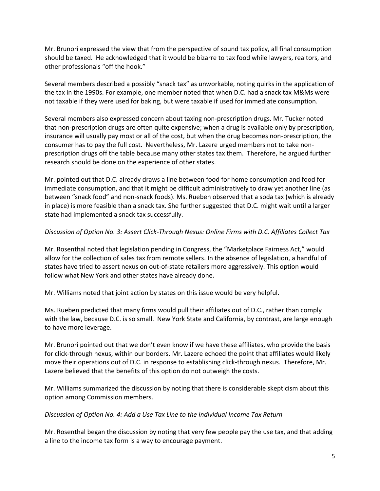Mr. Brunori expressed the view that from the perspective of sound tax policy, all final consumption should be taxed. He acknowledged that it would be bizarre to tax food while lawyers, realtors, and other professionals "off the hook."

Several members described a possibly "snack tax" as unworkable, noting quirks in the application of the tax in the 1990s. For example, one member noted that when D.C. had a snack tax M&Ms were not taxable if they were used for baking, but were taxable if used for immediate consumption.

Several members also expressed concern about taxing non-prescription drugs. Mr. Tucker noted that non-prescription drugs are often quite expensive; when a drug is available only by prescription, insurance will usually pay most or all of the cost, but when the drug becomes non-prescription, the consumer has to pay the full cost. Nevertheless, Mr. Lazere urged members not to take nonprescription drugs off the table because many other states tax them. Therefore, he argued further research should be done on the experience of other states.

Mr. pointed out that D.C. already draws a line between food for home consumption and food for immediate consumption, and that it might be difficult administratively to draw yet another line (as between "snack food" and non-snack foods). Ms. Rueben observed that a soda tax (which is already in place) is more feasible than a snack tax. She further suggested that D.C. might wait until a larger state had implemented a snack tax successfully.

# *Discussion of Option No. 3: Assert Click-Through Nexus: Online Firms with D.C. Affiliates Collect Tax*

Mr. Rosenthal noted that legislation pending in Congress, the "Marketplace Fairness Act," would allow for the collection of sales tax from remote sellers. In the absence of legislation, a handful of states have tried to assert nexus on out-of-state retailers more aggressively. This option would follow what New York and other states have already done.

Mr. Williams noted that joint action by states on this issue would be very helpful.

Ms. Rueben predicted that many firms would pull their affiliates out of D.C., rather than comply with the law, because D.C. is so small. New York State and California, by contrast, are large enough to have more leverage.

Mr. Brunori pointed out that we don't even know if we have these affiliates, who provide the basis for click-through nexus, within our borders. Mr. Lazere echoed the point that affiliates would likely move their operations out of D.C. in response to establishing click-through nexus. Therefore, Mr. Lazere believed that the benefits of this option do not outweigh the costs.

Mr. Williams summarized the discussion by noting that there is considerable skepticism about this option among Commission members.

### *Discussion of Option No. 4: Add a Use Tax Line to the Individual Income Tax Return*

Mr. Rosenthal began the discussion by noting that very few people pay the use tax, and that adding a line to the income tax form is a way to encourage payment.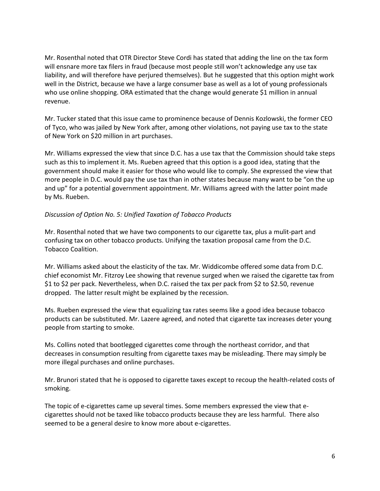Mr. Rosenthal noted that OTR Director Steve Cordi has stated that adding the line on the tax form will ensnare more tax filers in fraud (because most people still won't acknowledge any use tax liability, and will therefore have perjured themselves). But he suggested that this option might work well in the District, because we have a large consumer base as well as a lot of young professionals who use online shopping. ORA estimated that the change would generate \$1 million in annual revenue.

Mr. Tucker stated that this issue came to prominence because of Dennis Kozlowski, the former CEO of Tyco, who was jailed by New York after, among other violations, not paying use tax to the state of New York on \$20 million in art purchases.

Mr. Williams expressed the view that since D.C. has a use tax that the Commission should take steps such as this to implement it. Ms. Rueben agreed that this option is a good idea, stating that the government should make it easier for those who would like to comply. She expressed the view that more people in D.C. would pay the use tax than in other states because many want to be "on the up and up" for a potential government appointment. Mr. Williams agreed with the latter point made by Ms. Rueben.

### *Discussion of Option No. 5: Unified Taxation of Tobacco Products*

Mr. Rosenthal noted that we have two components to our cigarette tax, plus a mulit-part and confusing tax on other tobacco products. Unifying the taxation proposal came from the D.C. Tobacco Coalition.

Mr. Williams asked about the elasticity of the tax. Mr. Widdicombe offered some data from D.C. chief economist Mr. Fitzroy Lee showing that revenue surged when we raised the cigarette tax from \$1 to \$2 per pack. Nevertheless, when D.C. raised the tax per pack from \$2 to \$2.50, revenue dropped. The latter result might be explained by the recession.

Ms. Rueben expressed the view that equalizing tax rates seems like a good idea because tobacco products can be substituted. Mr. Lazere agreed, and noted that cigarette tax increases deter young people from starting to smoke.

Ms. Collins noted that bootlegged cigarettes come through the northeast corridor, and that decreases in consumption resulting from cigarette taxes may be misleading. There may simply be more illegal purchases and online purchases.

Mr. Brunori stated that he is opposed to cigarette taxes except to recoup the health-related costs of smoking.

The topic of e-cigarettes came up several times. Some members expressed the view that ecigarettes should not be taxed like tobacco products because they are less harmful. There also seemed to be a general desire to know more about e-cigarettes.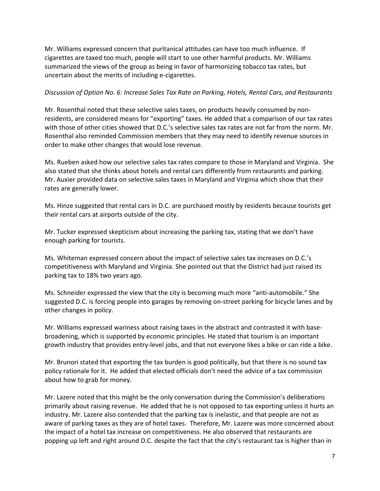Mr. Williams expressed concern that puritanical attitudes can have too much influence. If cigarettes are taxed too much, people will start to use other harmful products. Mr. Williams summarized the views of the group as being in favor of harmonizing tobacco tax rates, but uncertain about the merits of including e-cigarettes.

#### *Discussion of Option No. 6: Increase Sales Tax Rate on Parking, Hotels, Rental Cars, and Restaurants*

Mr. Rosenthal noted that these selective sales taxes, on products heavily consumed by nonresidents, are considered means for "exporting" taxes. He added that a comparison of our tax rates with those of other cities showed that D.C.'s selective sales tax rates are not far from the norm. Mr. Rosenthal also reminded Commission members that they may need to identify revenue sources in order to make other changes that would lose revenue.

Ms. Rueben asked how our selective sales tax rates compare to those in Maryland and Virginia. She also stated that she thinks about hotels and rental cars differently from restaurants and parking. Mr. Auxier provided data on selective sales taxes in Maryland and Virginia which show that their rates are generally lower.

Ms. Hinze suggested that rental cars in D.C. are purchased mostly by residents because tourists get their rental cars at airports outside of the city.

Mr. Tucker expressed skepticism about increasing the parking tax, stating that we don't have enough parking for tourists.

Ms. Whiteman expressed concern about the impact of selective sales tax increases on D.C.'s competitiveness with Maryland and Virginia. She pointed out that the District had just raised its parking tax to 18% two years ago.

Ms. Schneider expressed the view that the city is becoming much more "anti-automobile." She suggested D.C. is forcing people into garages by removing on-street parking for bicycle lanes and by other changes in policy.

Mr. Williams expressed wariness about raising taxes in the abstract and contrasted it with basebroadening, which is supported by economic principles. He stated that tourism is an important growth industry that provides entry-level jobs, and that not everyone likes a bike or can ride a bike.

Mr. Brunori stated that exporting the tax burden is good politically, but that there is no sound tax policy rationale for it. He added that elected officials don't need the advice of a tax commission about how to grab for money.

Mr. Lazere noted that this might be the only conversation during the Commission's deliberations primarily about raising revenue. He added that he is not opposed to tax exporting unless it hurts an industry. Mr. Lazere also contended that the parking tax is inelastic, and that people are not as aware of parking taxes as they are of hotel taxes. Therefore, Mr. Lazere was more concerned about the impact of a hotel tax increase on competitiveness. He also observed that restaurants are popping up left and right around D.C. despite the fact that the city's restaurant tax is higher than in